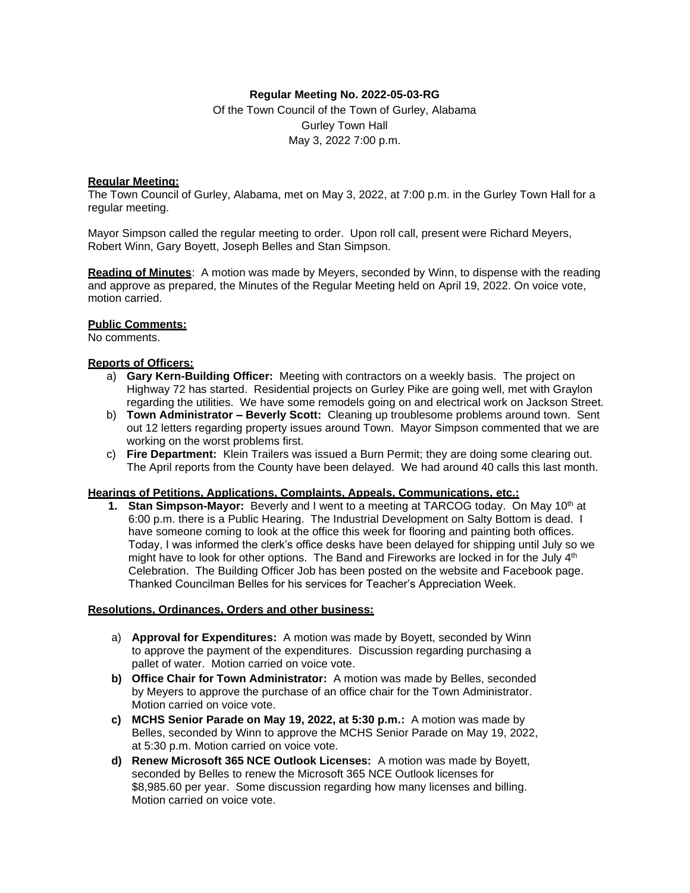## **Regular Meeting No. 2022-05-03-RG**

Of the Town Council of the Town of Gurley, Alabama Gurley Town Hall May 3, 2022 7:00 p.m.

# **Regular Meeting:**

The Town Council of Gurley, Alabama, met on May 3, 2022, at 7:00 p.m. in the Gurley Town Hall for a regular meeting.

Mayor Simpson called the regular meeting to order. Upon roll call, present were Richard Meyers, Robert Winn, Gary Boyett, Joseph Belles and Stan Simpson.

**Reading of Minutes**: A motion was made by Meyers, seconded by Winn, to dispense with the reading and approve as prepared, the Minutes of the Regular Meeting held on April 19, 2022. On voice vote, motion carried.

### **Public Comments:**

No comments.

### **Reports of Officers:**

- a) **Gary Kern-Building Officer:** Meeting with contractors on a weekly basis. The project on Highway 72 has started. Residential projects on Gurley Pike are going well, met with Graylon regarding the utilities. We have some remodels going on and electrical work on Jackson Street.
- b) **Town Administrator – Beverly Scott:** Cleaning up troublesome problems around town. Sent out 12 letters regarding property issues around Town. Mayor Simpson commented that we are working on the worst problems first.
- c) **Fire Department:** Klein Trailers was issued a Burn Permit; they are doing some clearing out. The April reports from the County have been delayed. We had around 40 calls this last month.

#### **Hearings of Petitions, Applications, Complaints, Appeals, Communications, etc.:**

**1. Stan Simpson-Mayor:** Beverly and I went to a meeting at TARCOG today. On May 10<sup>th</sup> at 6:00 p.m. there is a Public Hearing. The Industrial Development on Salty Bottom is dead. I have someone coming to look at the office this week for flooring and painting both offices. Today, I was informed the clerk's office desks have been delayed for shipping until July so we might have to look for other options. The Band and Fireworks are locked in for the July 4<sup>th</sup> Celebration. The Building Officer Job has been posted on the website and Facebook page. Thanked Councilman Belles for his services for Teacher's Appreciation Week.

#### **Resolutions, Ordinances, Orders and other business:**

- a) **Approval for Expenditures:** A motion was made by Boyett, seconded by Winn to approve the payment of the expenditures. Discussion regarding purchasing a pallet of water. Motion carried on voice vote.
- **b) Office Chair for Town Administrator:** A motion was made by Belles, seconded by Meyers to approve the purchase of an office chair for the Town Administrator. Motion carried on voice vote.
- **c) MCHS Senior Parade on May 19, 2022, at 5:30 p.m.:** A motion was made by Belles, seconded by Winn to approve the MCHS Senior Parade on May 19, 2022, at 5:30 p.m. Motion carried on voice vote.
- **d) Renew Microsoft 365 NCE Outlook Licenses:** A motion was made by Boyett, seconded by Belles to renew the Microsoft 365 NCE Outlook licenses for \$8,985.60 per year. Some discussion regarding how many licenses and billing. Motion carried on voice vote.